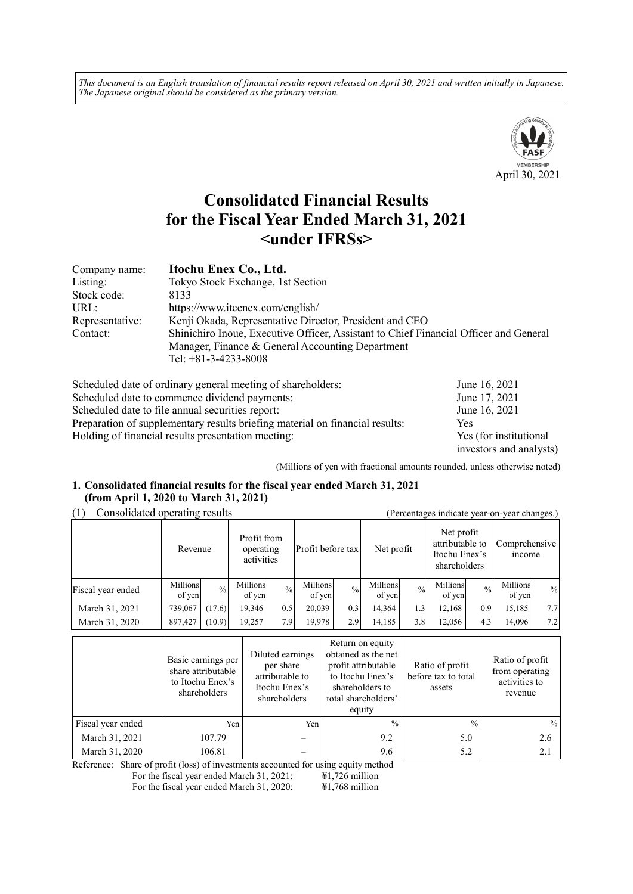*This document is an English translation of financial results report released on April 30, 2021 and written initially in Japanese. The Japanese original should be considered as the primary version.*



# **Consolidated Financial Results for the Fiscal Year Ended March 31, 2021 <under IFRSs>**

| Company name:   | Itochu Enex Co., Ltd.                                                                 |
|-----------------|---------------------------------------------------------------------------------------|
| Listing:        | Tokyo Stock Exchange, 1st Section                                                     |
| Stock code:     | 8133                                                                                  |
| URL:            | https://www.itcenex.com/english/                                                      |
| Representative: | Kenji Okada, Representative Director, President and CEO                               |
| Contact:        | Shinichiro Inoue, Executive Officer, Assistant to Chief Financial Officer and General |
|                 | Manager, Finance & General Accounting Department<br>Tel: $+81-3-4233-8008$            |

| Scheduled date of ordinary general meeting of shareholders:                  | June 16, 2021           |
|------------------------------------------------------------------------------|-------------------------|
| Scheduled date to commence dividend payments:                                | June 17, 2021           |
| Scheduled date to file annual securities report:                             | June 16, 2021           |
| Preparation of supplementary results briefing material on financial results: | Yes                     |
| Holding of financial results presentation meeting:                           | Yes (for institutional  |
|                                                                              | investors and analysts) |

(Millions of yen with fractional amounts rounded, unless otherwise noted)

#### **1. Consolidated financial results for the fiscal year ended March 31, 2021 (from April 1, 2020 to March 31, 2021)**

(1) Consolidated operating results (Percentages indicate year-on-year changes.)

| $\sim$ $\sim$     | Revenue            |               | Profit from<br>operating<br>activities |               | Profit before tax  |               | Net profit         |               | Net profit<br>attributable to<br>Itochu Enex's<br>shareholders |               | Comprehensive<br><i>n</i> come |               |
|-------------------|--------------------|---------------|----------------------------------------|---------------|--------------------|---------------|--------------------|---------------|----------------------------------------------------------------|---------------|--------------------------------|---------------|
| Fiscal year ended | Millions<br>of yen | $\frac{0}{0}$ | Millions<br>of yen                     | $\frac{0}{0}$ | Millions<br>of yen | $\frac{0}{0}$ | Millions<br>of yen | $\frac{0}{0}$ | Millions<br>of yen                                             | $\frac{0}{0}$ | Millions<br>of yen             | $\frac{0}{0}$ |
| March 31, 2021    | 739,067            | (17.6)        | 19,346                                 | 0.5           | 20,039             | 0.3           | 14,364             | 1.3           | 12,168                                                         | 0.9           | 15,185                         | 7.7           |
| March 31, 2020    | 897,427            | (10.9)        | 19,257                                 | 7.9           | 19,978             | 2.9           | 14,185             | 3.8           | 12,056                                                         | 4.3           | 14,096                         | 7.2           |

|                   | Basic earnings per<br>share attributable<br>to Itochu Enex's<br>shareholders | Diluted earnings<br>per share<br>attributable to<br>Itochu Enex's<br>shareholders | Return on equity<br>obtained as the net<br>profit attributable<br>to Itochu Enex's<br>shareholders to<br>total shareholders'<br>equity | Ratio of profit<br>before tax to total<br>assets | Ratio of profit<br>from operating<br>activities to<br>revenue |
|-------------------|------------------------------------------------------------------------------|-----------------------------------------------------------------------------------|----------------------------------------------------------------------------------------------------------------------------------------|--------------------------------------------------|---------------------------------------------------------------|
| Fiscal year ended | Yen                                                                          | Yen                                                                               | $\frac{0}{0}$                                                                                                                          | $\frac{0}{0}$                                    | $\frac{0}{0}$                                                 |
| March 31, 2021    | 107.79                                                                       |                                                                                   | 9.2                                                                                                                                    | 5.0                                              | 2.6                                                           |
| March 31, 2020    | 106.81                                                                       |                                                                                   | 9.6                                                                                                                                    | 5.2                                              | 2.1                                                           |

Reference: Share of profit (loss) of investments accounted for using equity method<br>For the fiscal year ended March 31, 2021:  $\text{\#1,726}$  million

For the fiscal year ended March 31, 2021: For the fiscal year ended March 31, 2020: ¥1,768 million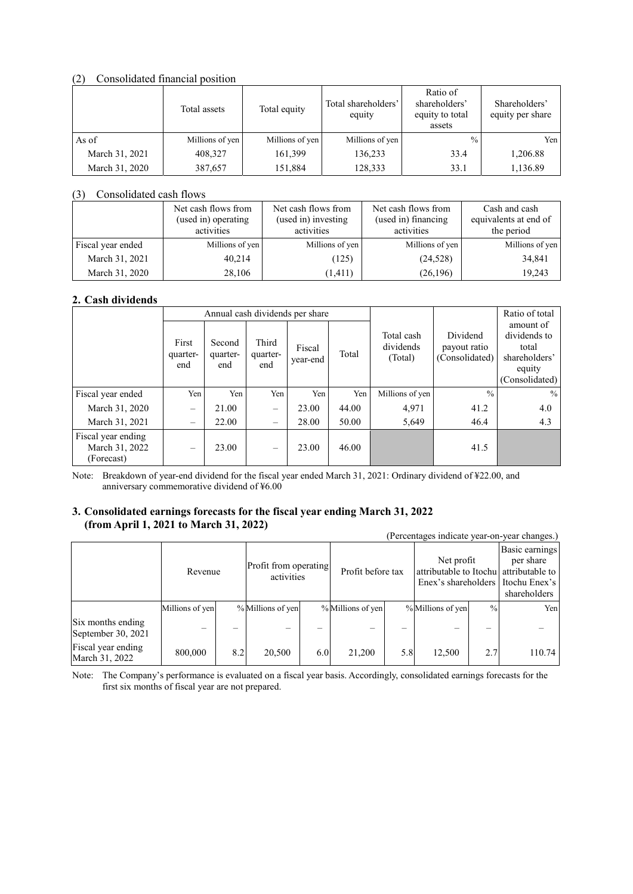#### (2) Consolidated financial position

|                | Total assets    |                 | Total shareholders'<br>equity | Ratio of<br>shareholders'<br>equity to total<br>assets | Shareholders'<br>equity per share |
|----------------|-----------------|-----------------|-------------------------------|--------------------------------------------------------|-----------------------------------|
| As of          | Millions of yen | Millions of yen | Millions of yen               | $\frac{0}{0}$                                          | Yen                               |
| March 31, 2021 | 408,327         | 161,399         | 136,233                       | 33.4                                                   | 1,206.88                          |
| March 31, 2020 | 387,657         | 151,884         | 128,333                       | 33.1                                                   | 1,136.89                          |

#### (3) Consolidated cash flows

|                   | Net cash flows from<br>(used in) operating<br>activities | Net cash flows from<br>(used in) investing<br>activities | Net cash flows from<br>(used in) financing<br>activities | Cash and cash<br>equivalents at end of<br>the period |
|-------------------|----------------------------------------------------------|----------------------------------------------------------|----------------------------------------------------------|------------------------------------------------------|
| Fiscal year ended | Millions of yen                                          | Millions of yen                                          | Millions of yen                                          | Millions of yen                                      |
| March 31, 2021    | 40,214                                                   | (125)                                                    | (24, 528)                                                | 34,841                                               |
| March 31, 2020    | 28,106                                                   | (1, 411)                                                 | (26,196)                                                 | 19,243                                               |

# **2. Cash dividends**

|                                                    |                                | Annual cash dividends per share |                          |                    |       | Ratio of total                     |                                            |                                                                                 |
|----------------------------------------------------|--------------------------------|---------------------------------|--------------------------|--------------------|-------|------------------------------------|--------------------------------------------|---------------------------------------------------------------------------------|
|                                                    | First<br>quarter-<br>end       | Second<br>quarter-<br>end       | Third<br>quarter-<br>end | Fiscal<br>year-end | Total | Total cash<br>dividends<br>(Total) | Dividend<br>payout ratio<br>(Consolidated) | amount of<br>dividends to<br>total<br>shareholders'<br>equity<br>(Consolidated) |
| Fiscal year ended                                  | Yen                            | Yen                             | Yen                      | Yen                | Yen   | Millions of yen                    | $\frac{0}{0}$                              | $\frac{0}{0}$                                                                   |
| March 31, 2020                                     | $\qquad \qquad \longleftarrow$ | 21.00                           | $\overline{\phantom{m}}$ | 23.00              | 44.00 | 4,971                              | 41.2                                       | 4.0                                                                             |
| March 31, 2021                                     | $\qquad \qquad -$              | 22.00                           | $\overline{\phantom{0}}$ | 28.00              | 50.00 | 5,649                              | 46.4                                       | 4.3                                                                             |
| Fiscal year ending<br>March 31, 2022<br>(Forecast) |                                | 23.00                           |                          | 23.00              | 46.00 |                                    | 41.5                                       |                                                                                 |

Note: Breakdown of year-end dividend for the fiscal year ended March 31, 2021: Ordinary dividend of ¥22.00, and anniversary commemorative dividend of ¥6.00

# **3. Consolidated earnings forecasts for the fiscal year ending March 31, 2022 (from April 1, 2021 to March 31, 2022)**

|                                         |                 |         |                   |                                     |                   |                   |                   |                                                                                              | (Percentages indicate year-on-year changes.) |
|-----------------------------------------|-----------------|---------|-------------------|-------------------------------------|-------------------|-------------------|-------------------|----------------------------------------------------------------------------------------------|----------------------------------------------|
|                                         |                 | Revenue |                   | Profit from operating<br>activities |                   | Profit before tax |                   | Net profit<br>attributable to Itochul attributable to<br>Enex's shareholders I Itochu Enex's |                                              |
|                                         | Millions of yen |         | % Millions of yen |                                     | % Millions of yen |                   | % Millions of yen | $^{0}/_{0}$                                                                                  | Yen                                          |
| Six months ending<br>September 30, 2021 |                 |         |                   |                                     |                   |                   |                   |                                                                                              |                                              |
| Fiscal year ending<br>March 31, 2022    | 800,000         | 8.2     | 20,500            | 6.0                                 | 21,200            | 5.8               | 12,500            | 2.7                                                                                          | 110.74                                       |

Note: The Company's performance is evaluated on a fiscal year basis. Accordingly, consolidated earnings forecasts for the first six months of fiscal year are not prepared.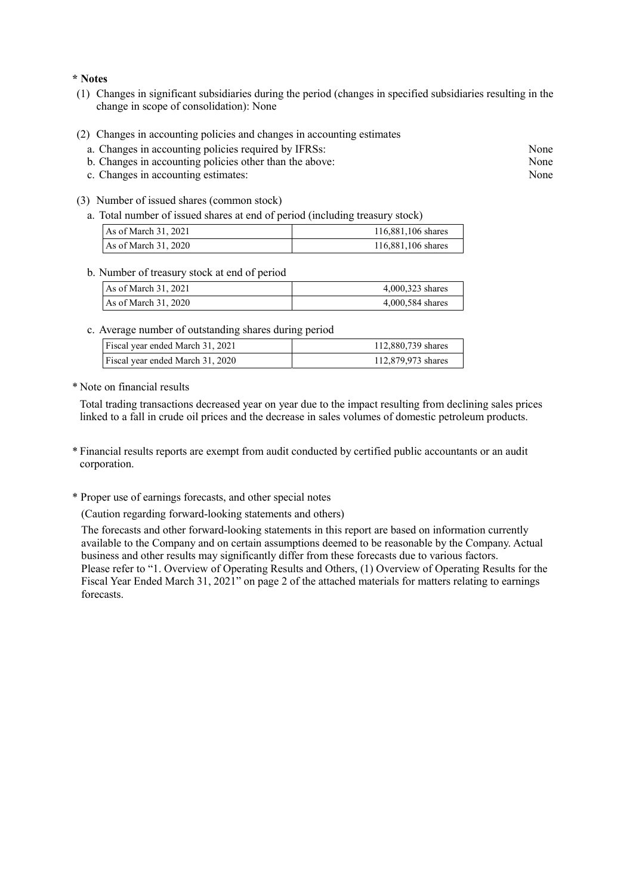#### **\* Notes**

- (1) Changes in significant subsidiaries during the period (changes in specified subsidiaries resulting in the change in scope of consolidation): None
- (2) Changes in accounting policies and changes in accounting estimates
	- a. Changes in accounting policies required by IFRSs: None
	- b. Changes in accounting policies other than the above: None
	- c. Changes in accounting estimates: None
- (3) Number of issued shares (common stock)
	- a. Total number of issued shares at end of period (including treasury stock)

| As of March 31, 2021  | 116,881,106 shares |
|-----------------------|--------------------|
| As of March $31,2020$ | 116,881,106 shares |

#### b. Number of treasury stock at end of period

| As of March 31, 2021 | 4,000,323 shares |
|----------------------|------------------|
| As of March 31, 2020 | 4,000,584 shares |

c. Average number of outstanding shares during period

| Fiscal year ended March 31, 2021 | 112,880,739 shares |
|----------------------------------|--------------------|
| Fiscal year ended March 31, 2020 | 112,879,973 shares |

\* Note on financial results

Total trading transactions decreased year on year due to the impact resulting from declining sales prices linked to a fall in crude oil prices and the decrease in sales volumes of domestic petroleum products.

- \* Financial results reports are exempt from audit conducted by certified public accountants or an audit corporation.
- \* Proper use of earnings forecasts, and other special notes

(Caution regarding forward-looking statements and others)

The forecasts and other forward-looking statements in this report are based on information currently available to the Company and on certain assumptions deemed to be reasonable by the Company. Actual business and other results may significantly differ from these forecasts due to various factors. Please refer to "1. Overview of Operating Results and Others, (1) Overview of Operating Results for the Fiscal Year Ended March 31, 2021" on page 2 of the attached materials for matters relating to earnings forecasts.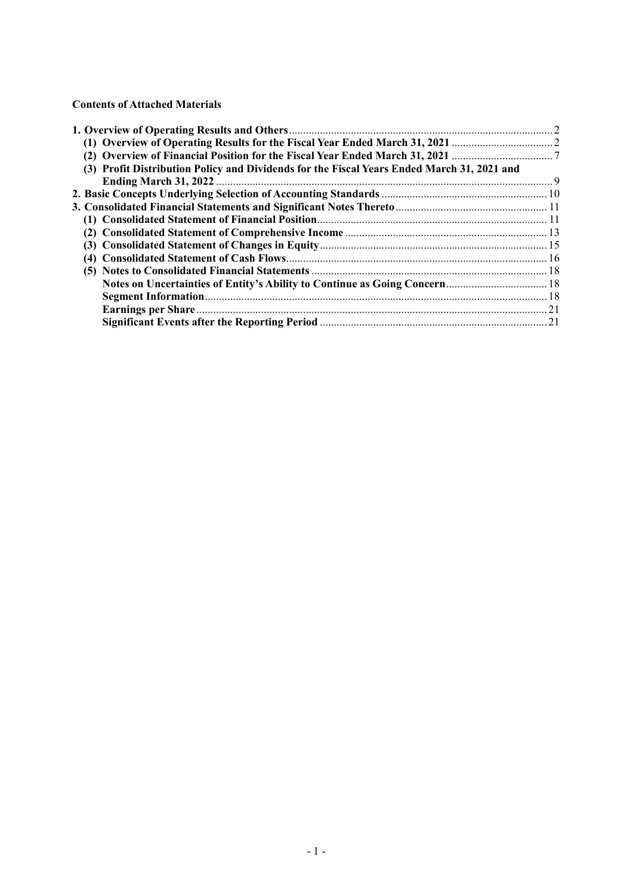#### **Contents of Attached Materials**

| (3) Profit Distribution Policy and Dividends for the Fiscal Years Ended March 31, 2021 and |  |
|--------------------------------------------------------------------------------------------|--|
|                                                                                            |  |
|                                                                                            |  |
|                                                                                            |  |
|                                                                                            |  |
|                                                                                            |  |
|                                                                                            |  |
|                                                                                            |  |
|                                                                                            |  |
|                                                                                            |  |
|                                                                                            |  |
|                                                                                            |  |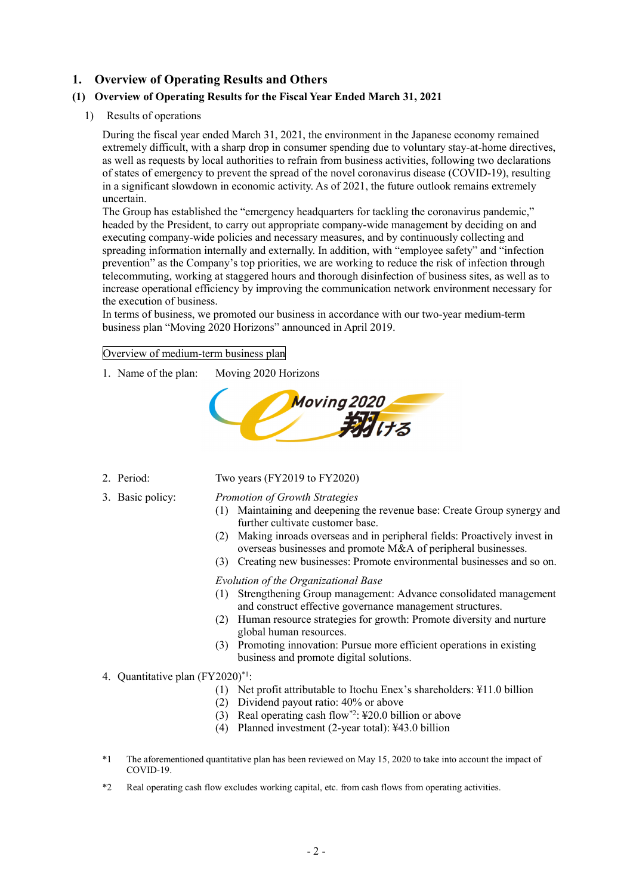# **1. Overview of Operating Results and Others**

# **(1) Overview of Operating Results for the Fiscal Year Ended March 31, 2021**

1) Results of operations

During the fiscal year ended March 31, 2021, the environment in the Japanese economy remained extremely difficult, with a sharp drop in consumer spending due to voluntary stay-at-home directives, as well as requests by local authorities to refrain from business activities, following two declarations of states of emergency to prevent the spread of the novel coronavirus disease (COVID-19), resulting in a significant slowdown in economic activity. As of 2021, the future outlook remains extremely uncertain.

The Group has established the "emergency headquarters for tackling the coronavirus pandemic," headed by the President, to carry out appropriate company-wide management by deciding on and executing company-wide policies and necessary measures, and by continuously collecting and spreading information internally and externally. In addition, with "employee safety" and "infection prevention" as the Company's top priorities, we are working to reduce the risk of infection through telecommuting, working at staggered hours and thorough disinfection of business sites, as well as to increase operational efficiency by improving the communication network environment necessary for the execution of business.

In terms of business, we promoted our business in accordance with our two-year medium-term business plan "Moving 2020 Horizons" announced in April 2019.

Overview of medium-term business plan

1. Name of the plan: Moving 2020 Horizons



- 
- 

#### 2. Period: Two years (FY2019 to FY2020)

#### 3. Basic policy: *Promotion of Growth Strategies*

- (1) Maintaining and deepening the revenue base: Create Group synergy and further cultivate customer base.
- (2) Making inroads overseas and in peripheral fields: Proactively invest in overseas businesses and promote M&A of peripheral businesses.
- (3) Creating new businesses: Promote environmental businesses and so on.

#### *Evolution of the Organizational Base*

- (1) Strengthening Group management: Advance consolidated management and construct effective governance management structures.
- (2) Human resource strategies for growth: Promote diversity and nurture global human resources.
- (3) Promoting innovation: Pursue more efficient operations in existing business and promote digital solutions.

#### 4. Quantitative plan (FY2020)\*1:

- (1) Net profit attributable to Itochu Enex's shareholders: ¥11.0 billion
- (2) Dividend payout ratio: 40% or above
- (3) Real operating cash flow\*2: ¥20.0 billion or above
- (4) Planned investment (2-year total): ¥43.0 billion
- \*1 The aforementioned quantitative plan has been reviewed on May 15, 2020 to take into account the impact of COVID-19.
- \*2 Real operating cash flow excludes working capital, etc. from cash flows from operating activities.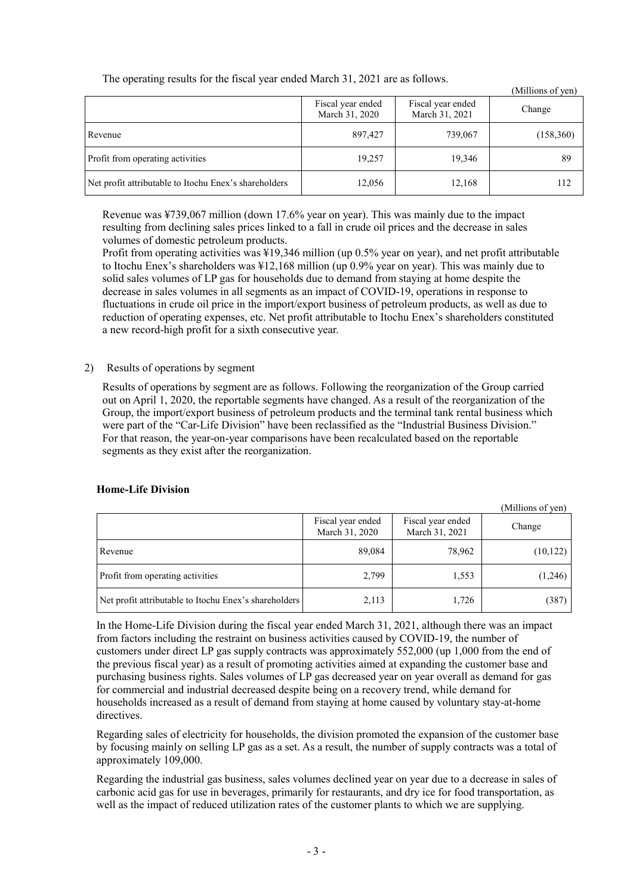| (Millions of yen)                                     |                                     |                                     |            |  |
|-------------------------------------------------------|-------------------------------------|-------------------------------------|------------|--|
|                                                       | Fiscal year ended<br>March 31, 2020 | Fiscal year ended<br>March 31, 2021 | Change     |  |
| Revenue                                               | 897,427                             | 739,067                             | (158, 360) |  |
| Profit from operating activities                      | 19,257                              | 19,346                              | 89         |  |
| Net profit attributable to Itochu Enex's shareholders | 12,056                              | 12,168                              | 112        |  |

 $\alpha$  cm<sup>2</sup>

The operating results for the fiscal year ended March 31, 2021 are as follows.

Revenue was ¥739,067 million (down 17.6% year on year). This was mainly due to the impact resulting from declining sales prices linked to a fall in crude oil prices and the decrease in sales volumes of domestic petroleum products.

Profit from operating activities was ¥19,346 million (up 0.5% year on year), and net profit attributable to Itochu Enex's shareholders was ¥12,168 million (up 0.9% year on year). This was mainly due to solid sales volumes of LP gas for households due to demand from staying at home despite the decrease in sales volumes in all segments as an impact of COVID-19, operations in response to fluctuations in crude oil price in the import/export business of petroleum products, as well as due to reduction of operating expenses, etc. Net profit attributable to Itochu Enex's shareholders constituted a new record-high profit for a sixth consecutive year.

# 2) Results of operations by segment

Results of operations by segment are as follows. Following the reorganization of the Group carried out on April 1, 2020, the reportable segments have changed. As a result of the reorganization of the Group, the import/export business of petroleum products and the terminal tank rental business which were part of the "Car-Life Division" have been reclassified as the "Industrial Business Division." For that reason, the year-on-year comparisons have been recalculated based on the reportable segments as they exist after the reorganization.

|                                                       |                                     |                                     | (Millions of yen) |
|-------------------------------------------------------|-------------------------------------|-------------------------------------|-------------------|
|                                                       | Fiscal year ended<br>March 31, 2020 | Fiscal year ended<br>March 31, 2021 | Change            |
| Revenue                                               | 89,084                              | 78,962                              | (10, 122)         |
| Profit from operating activities                      | 2,799                               | 1,553                               | (1,246)           |
| Net profit attributable to Itochu Enex's shareholders | 2,113                               | 1,726                               | (387)             |

# **Home-Life Division**

In the Home-Life Division during the fiscal year ended March 31, 2021, although there was an impact from factors including the restraint on business activities caused by COVID-19, the number of customers under direct LP gas supply contracts was approximately 552,000 (up 1,000 from the end of the previous fiscal year) as a result of promoting activities aimed at expanding the customer base and purchasing business rights. Sales volumes of LP gas decreased year on year overall as demand for gas for commercial and industrial decreased despite being on a recovery trend, while demand for households increased as a result of demand from staying at home caused by voluntary stay-at-home directives.

Regarding sales of electricity for households, the division promoted the expansion of the customer base by focusing mainly on selling LP gas as a set. As a result, the number of supply contracts was a total of approximately 109,000.

Regarding the industrial gas business, sales volumes declined year on year due to a decrease in sales of carbonic acid gas for use in beverages, primarily for restaurants, and dry ice for food transportation, as well as the impact of reduced utilization rates of the customer plants to which we are supplying.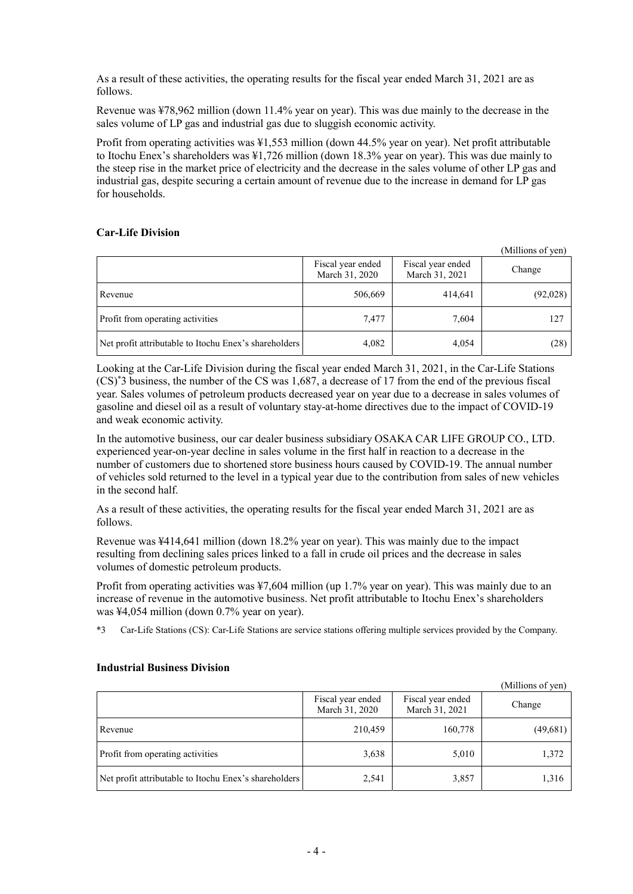As a result of these activities, the operating results for the fiscal year ended March 31, 2021 are as follows.

Revenue was ¥78,962 million (down 11.4% year on year). This was due mainly to the decrease in the sales volume of LP gas and industrial gas due to sluggish economic activity.

Profit from operating activities was ¥1,553 million (down 44.5% year on year). Net profit attributable to Itochu Enex's shareholders was ¥1,726 million (down 18.3% year on year). This was due mainly to the steep rise in the market price of electricity and the decrease in the sales volume of other LP gas and industrial gas, despite securing a certain amount of revenue due to the increase in demand for LP gas for households.

# **Car-Life Division**

|                                                       |                                     |                                     | (Millions of yen) |
|-------------------------------------------------------|-------------------------------------|-------------------------------------|-------------------|
|                                                       | Fiscal year ended<br>March 31, 2020 | Fiscal year ended<br>March 31, 2021 | Change            |
| Revenue                                               | 506,669                             | 414,641                             | (92,028)          |
| Profit from operating activities                      | 7,477                               | 7,604                               | 127               |
| Net profit attributable to Itochu Enex's shareholders | 4,082                               | 4,054                               | (28)              |

Looking at the Car-Life Division during the fiscal year ended March 31, 2021, in the Car-Life Stations (CS)\* 3 business, the number of the CS was 1,687, a decrease of 17 from the end of the previous fiscal year. Sales volumes of petroleum products decreased year on year due to a decrease in sales volumes of gasoline and diesel oil as a result of voluntary stay-at-home directives due to the impact of COVID-19 and weak economic activity.

In the automotive business, our car dealer business subsidiary OSAKA CAR LIFE GROUP CO., LTD. experienced year-on-year decline in sales volume in the first half in reaction to a decrease in the number of customers due to shortened store business hours caused by COVID-19. The annual number of vehicles sold returned to the level in a typical year due to the contribution from sales of new vehicles in the second half.

As a result of these activities, the operating results for the fiscal year ended March 31, 2021 are as follows.

Revenue was ¥414,641 million (down 18.2% year on year). This was mainly due to the impact resulting from declining sales prices linked to a fall in crude oil prices and the decrease in sales volumes of domestic petroleum products.

Profit from operating activities was ¥7,604 million (up 1.7% year on year). This was mainly due to an increase of revenue in the automotive business. Net profit attributable to Itochu Enex's shareholders was ¥4,054 million (down 0.7% year on year).

\*3 Car-Life Stations (CS): Car-Life Stations are service stations offering multiple services provided by the Company.

|                                                       |                                     |                                     | (Millions of yen) |
|-------------------------------------------------------|-------------------------------------|-------------------------------------|-------------------|
|                                                       | Fiscal year ended<br>March 31, 2020 | Fiscal year ended<br>March 31, 2021 | Change            |
| Revenue                                               | 210,459                             | 160,778                             | (49,681)          |
| Profit from operating activities                      | 3,638                               | 5,010                               | 1,372             |
| Net profit attributable to Itochu Enex's shareholders | 2,541                               | 3,857                               | 1,316             |

# **Industrial Business Division**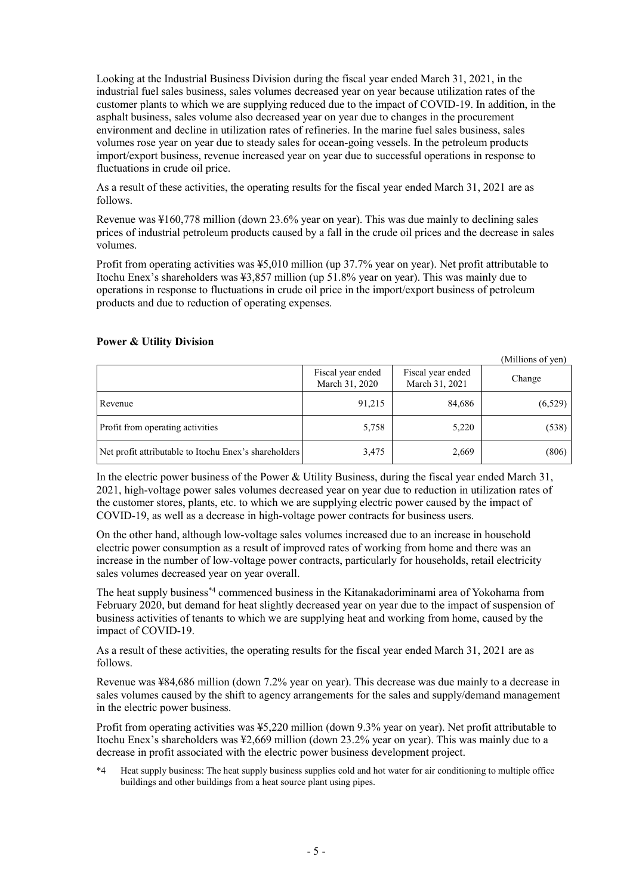Looking at the Industrial Business Division during the fiscal year ended March 31, 2021, in the industrial fuel sales business, sales volumes decreased year on year because utilization rates of the customer plants to which we are supplying reduced due to the impact of COVID-19. In addition, in the asphalt business, sales volume also decreased year on year due to changes in the procurement environment and decline in utilization rates of refineries. In the marine fuel sales business, sales volumes rose year on year due to steady sales for ocean-going vessels. In the petroleum products import/export business, revenue increased year on year due to successful operations in response to fluctuations in crude oil price.

As a result of these activities, the operating results for the fiscal year ended March 31, 2021 are as follows.

Revenue was ¥160,778 million (down 23.6% year on year). This was due mainly to declining sales prices of industrial petroleum products caused by a fall in the crude oil prices and the decrease in sales volumes.

Profit from operating activities was ¥5,010 million (up 37.7% year on year). Net profit attributable to Itochu Enex's shareholders was ¥3,857 million (up 51.8% year on year). This was mainly due to operations in response to fluctuations in crude oil price in the import/export business of petroleum products and due to reduction of operating expenses.

|                                                       |                                     |                                     | (Millions of yen) |
|-------------------------------------------------------|-------------------------------------|-------------------------------------|-------------------|
|                                                       | Fiscal year ended<br>March 31, 2020 | Fiscal year ended<br>March 31, 2021 | Change            |
| Revenue                                               | 91,215                              | 84,686                              | (6,529)           |
| Profit from operating activities                      | 5,758                               | 5,220                               | (538)             |
| Net profit attributable to Itochu Enex's shareholders | 3,475                               | 2,669                               | (806)             |

# **Power & Utility Division**

In the electric power business of the Power & Utility Business, during the fiscal year ended March 31, 2021, high-voltage power sales volumes decreased year on year due to reduction in utilization rates of the customer stores, plants, etc. to which we are supplying electric power caused by the impact of COVID-19, as well as a decrease in high-voltage power contracts for business users.

On the other hand, although low-voltage sales volumes increased due to an increase in household electric power consumption as a result of improved rates of working from home and there was an increase in the number of low-voltage power contracts, particularly for households, retail electricity sales volumes decreased year on year overall.

The heat supply business\*4 commenced business in the Kitanakadoriminami area of Yokohama from February 2020, but demand for heat slightly decreased year on year due to the impact of suspension of business activities of tenants to which we are supplying heat and working from home, caused by the impact of COVID-19.

As a result of these activities, the operating results for the fiscal year ended March 31, 2021 are as follows.

Revenue was ¥84,686 million (down 7.2% year on year). This decrease was due mainly to a decrease in sales volumes caused by the shift to agency arrangements for the sales and supply/demand management in the electric power business.

Profit from operating activities was ¥5,220 million (down 9.3% year on year). Net profit attributable to Itochu Enex's shareholders was ¥2,669 million (down 23.2% year on year). This was mainly due to a decrease in profit associated with the electric power business development project.

\*4 Heat supply business: The heat supply business supplies cold and hot water for air conditioning to multiple office buildings and other buildings from a heat source plant using pipes.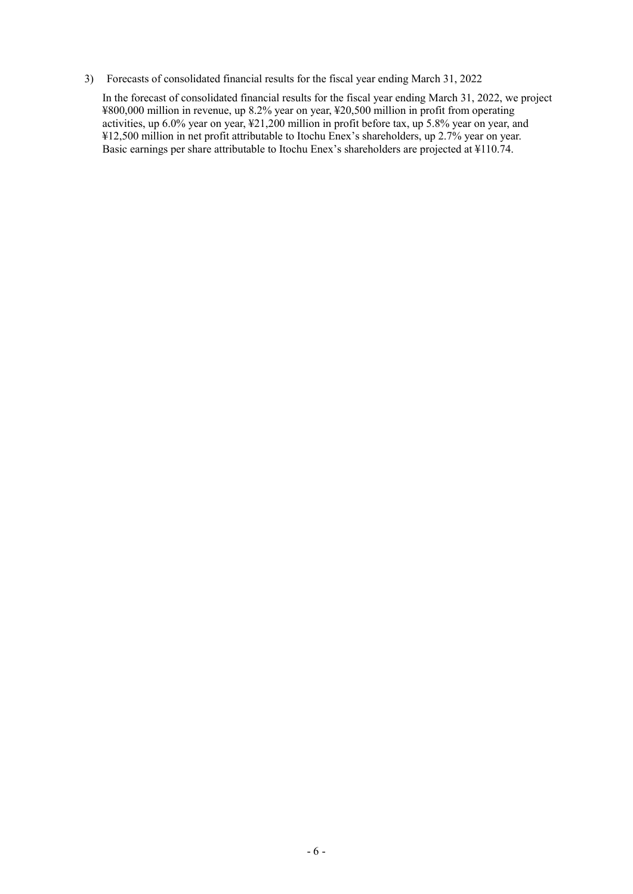3) Forecasts of consolidated financial results for the fiscal year ending March 31, 2022

In the forecast of consolidated financial results for the fiscal year ending March 31, 2022, we project ¥800,000 million in revenue, up 8.2% year on year, ¥20,500 million in profit from operating activities, up 6.0% year on year, ¥21,200 million in profit before tax, up 5.8% year on year, and ¥12,500 million in net profit attributable to Itochu Enex's shareholders, up 2.7% year on year. Basic earnings per share attributable to Itochu Enex's shareholders are projected at ¥110.74.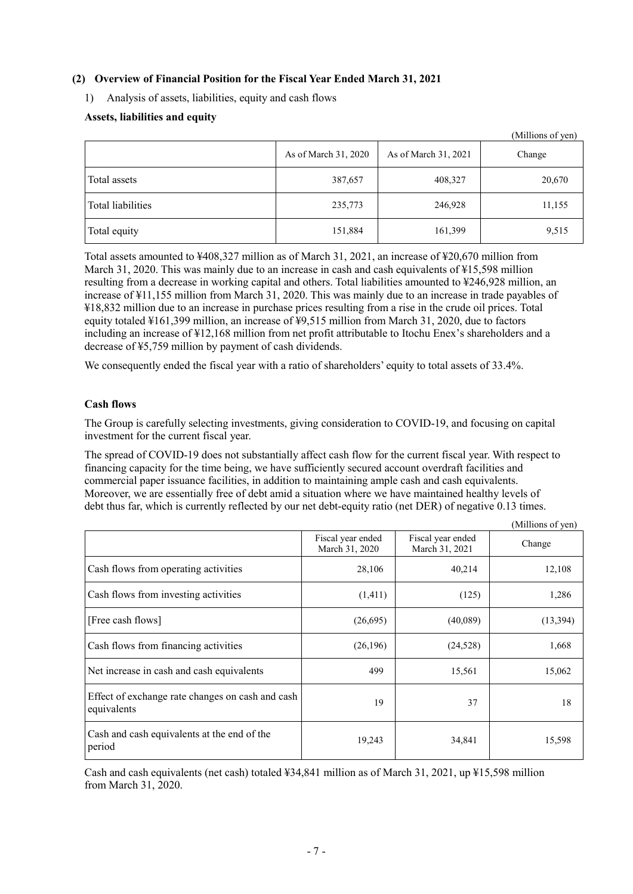# **(2) Overview of Financial Position for the Fiscal Year Ended March 31, 2021**

1) Analysis of assets, liabilities, equity and cash flows

# **Assets, liabilities and equity**

|                   |                      |                      | (Millions of yen) |
|-------------------|----------------------|----------------------|-------------------|
|                   | As of March 31, 2020 | As of March 31, 2021 | Change            |
| Total assets      | 387,657              | 408,327              | 20,670            |
| Total liabilities | 235,773              | 246,928              | 11,155            |
| Total equity      | 151,884              | 161,399              | 9,515             |

Total assets amounted to ¥408,327 million as of March 31, 2021, an increase of ¥20,670 million from March 31, 2020. This was mainly due to an increase in cash and cash equivalents of \\$15,598 million resulting from a decrease in working capital and others. Total liabilities amounted to ¥246,928 million, an increase of ¥11,155 million from March 31, 2020. This was mainly due to an increase in trade payables of ¥18,832 million due to an increase in purchase prices resulting from a rise in the crude oil prices. Total equity totaled ¥161,399 million, an increase of ¥9,515 million from March 31, 2020, due to factors including an increase of ¥12,168 million from net profit attributable to Itochu Enex's shareholders and a decrease of ¥5,759 million by payment of cash dividends.

We consequently ended the fiscal year with a ratio of shareholders' equity to total assets of 33.4%.

# **Cash flows**

The Group is carefully selecting investments, giving consideration to COVID-19, and focusing on capital investment for the current fiscal year.

The spread of COVID-19 does not substantially affect cash flow for the current fiscal year. With respect to financing capacity for the time being, we have sufficiently secured account overdraft facilities and commercial paper issuance facilities, in addition to maintaining ample cash and cash equivalents. Moreover, we are essentially free of debt amid a situation where we have maintained healthy levels of debt thus far, which is currently reflected by our net debt-equity ratio (net DER) of negative 0.13 times.

 $\alpha$  c  $\alpha$ 

|                                                                 |                                     |                                     | (Millions of yen) |
|-----------------------------------------------------------------|-------------------------------------|-------------------------------------|-------------------|
|                                                                 | Fiscal year ended<br>March 31, 2020 | Fiscal year ended<br>March 31, 2021 | Change            |
| Cash flows from operating activities                            | 28,106                              | 40,214                              | 12,108            |
| Cash flows from investing activities                            | (1,411)                             | (125)                               | 1,286             |
| [Free cash flows]                                               | (26,695)                            | (40,089)                            | (13, 394)         |
| Cash flows from financing activities                            | (26,196)                            | (24, 528)                           | 1,668             |
| Net increase in cash and cash equivalents                       | 499                                 | 15,561                              | 15,062            |
| Effect of exchange rate changes on cash and cash<br>equivalents | 19                                  | 37                                  | 18                |
| Cash and cash equivalents at the end of the<br>period           | 19,243                              | 34,841                              | 15,598            |

Cash and cash equivalents (net cash) totaled ¥34,841 million as of March 31, 2021, up ¥15,598 million from March 31, 2020.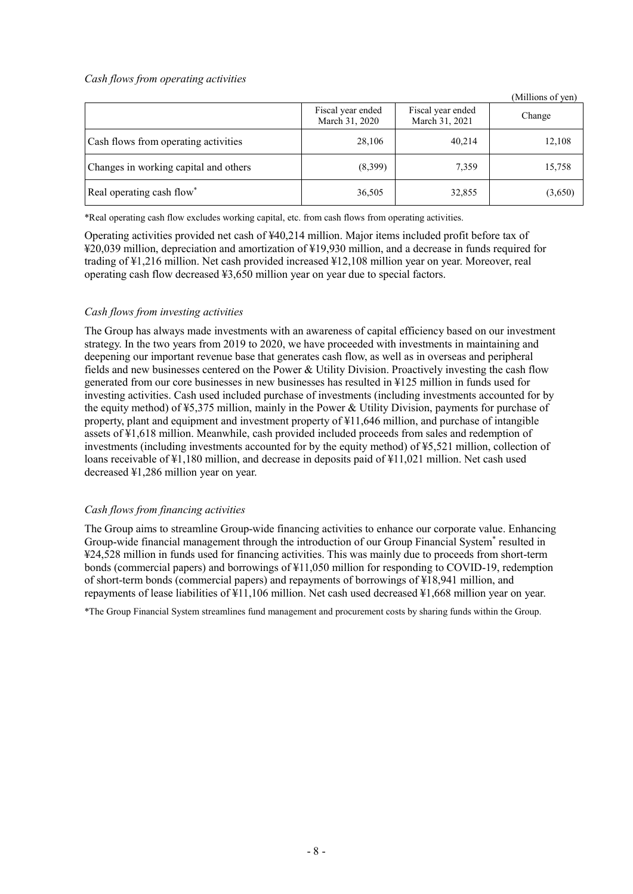# *Cash flows from operating activities*

|                                       |                                     |                                     | (Millions of yen) |
|---------------------------------------|-------------------------------------|-------------------------------------|-------------------|
|                                       | Fiscal year ended<br>March 31, 2020 | Fiscal year ended<br>March 31, 2021 | Change            |
| Cash flows from operating activities  | 28,106                              | 40,214                              | 12,108            |
| Changes in working capital and others | (8,399)                             | 7,359                               | 15,758            |
| Real operating cash flow*             | 36,505                              | 32,855                              | (3,650)           |

\*Real operating cash flow excludes working capital, etc. from cash flows from operating activities.

Operating activities provided net cash of ¥40,214 million. Major items included profit before tax of ¥20,039 million, depreciation and amortization of ¥19,930 million, and a decrease in funds required for trading of ¥1,216 million. Net cash provided increased ¥12,108 million year on year. Moreover, real operating cash flow decreased ¥3,650 million year on year due to special factors.

# *Cash flows from investing activities*

The Group has always made investments with an awareness of capital efficiency based on our investment strategy. In the two years from 2019 to 2020, we have proceeded with investments in maintaining and deepening our important revenue base that generates cash flow, as well as in overseas and peripheral fields and new businesses centered on the Power & Utility Division. Proactively investing the cash flow generated from our core businesses in new businesses has resulted in ¥125 million in funds used for investing activities. Cash used included purchase of investments (including investments accounted for by the equity method) of ¥5,375 million, mainly in the Power & Utility Division, payments for purchase of property, plant and equipment and investment property of ¥11,646 million, and purchase of intangible assets of ¥1,618 million. Meanwhile, cash provided included proceeds from sales and redemption of investments (including investments accounted for by the equity method) of ¥5,521 million, collection of loans receivable of ¥1,180 million, and decrease in deposits paid of ¥11,021 million. Net cash used decreased ¥1,286 million year on year.

# *Cash flows from financing activities*

The Group aims to streamline Group-wide financing activities to enhance our corporate value. Enhancing Group-wide financial management through the introduction of our Group Financial System\* resulted in ¥24,528 million in funds used for financing activities. This was mainly due to proceeds from short-term bonds (commercial papers) and borrowings of ¥11,050 million for responding to COVID-19, redemption of short-term bonds (commercial papers) and repayments of borrowings of ¥18,941 million, and repayments of lease liabilities of ¥11,106 million. Net cash used decreased ¥1,668 million year on year.

\*The Group Financial System streamlines fund management and procurement costs by sharing funds within the Group.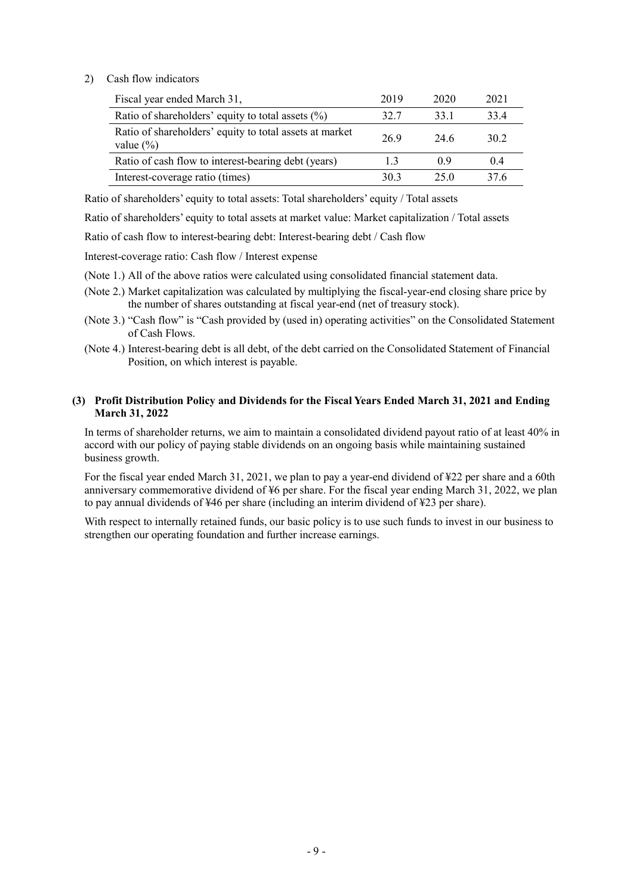# 2) Cash flow indicators

| Fiscal year ended March 31,                                              | 2019 | 2020 | 2021 |
|--------------------------------------------------------------------------|------|------|------|
| Ratio of shareholders' equity to total assets $(\%)$                     | 32.7 | 33.1 | 33.4 |
| Ratio of shareholders' equity to total assets at market<br>value $(\% )$ | 26.9 | 24.6 | 30.2 |
| Ratio of cash flow to interest-bearing debt (years)                      | 1.3  | 09   | 0.4  |
| Interest-coverage ratio (times)                                          | 30.3 | 25.0 | 37.6 |

Ratio of shareholders' equity to total assets: Total shareholders' equity / Total assets

Ratio of shareholders' equity to total assets at market value: Market capitalization / Total assets

Ratio of cash flow to interest-bearing debt: Interest-bearing debt / Cash flow

Interest-coverage ratio: Cash flow / Interest expense

(Note 1.) All of the above ratios were calculated using consolidated financial statement data.

- (Note 2.) Market capitalization was calculated by multiplying the fiscal-year-end closing share price by the number of shares outstanding at fiscal year-end (net of treasury stock).
- (Note 3.) "Cash flow" is "Cash provided by (used in) operating activities" on the Consolidated Statement of Cash Flows.
- (Note 4.) Interest-bearing debt is all debt, of the debt carried on the Consolidated Statement of Financial Position, on which interest is payable.

#### **(3) Profit Distribution Policy and Dividends for the Fiscal Years Ended March 31, 2021 and Ending March 31, 2022**

In terms of shareholder returns, we aim to maintain a consolidated dividend payout ratio of at least 40% in accord with our policy of paying stable dividends on an ongoing basis while maintaining sustained business growth.

For the fiscal year ended March 31, 2021, we plan to pay a year-end dividend of ¥22 per share and a 60th anniversary commemorative dividend of ¥6 per share. For the fiscal year ending March 31, 2022, we plan to pay annual dividends of ¥46 per share (including an interim dividend of ¥23 per share).

With respect to internally retained funds, our basic policy is to use such funds to invest in our business to strengthen our operating foundation and further increase earnings.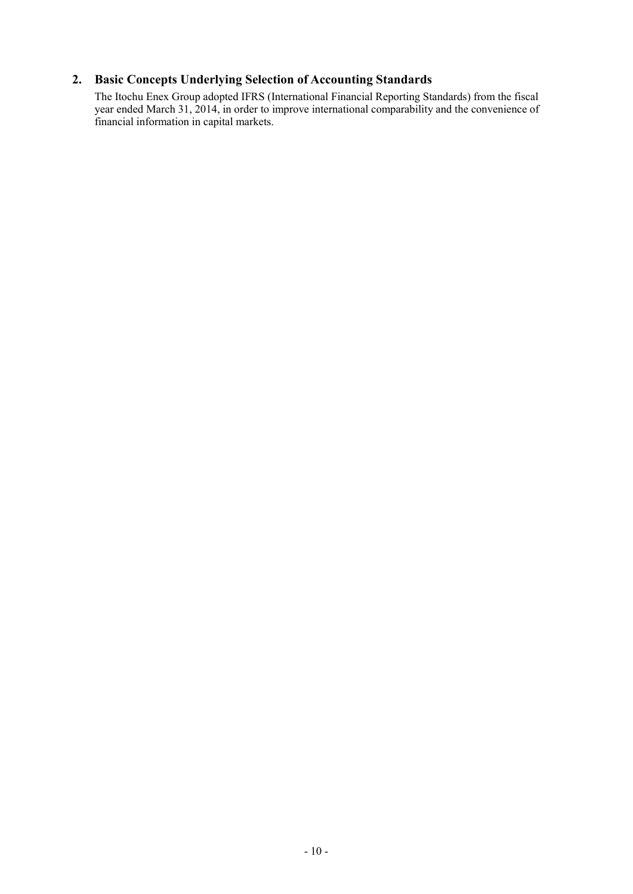# **2. Basic Concepts Underlying Selection of Accounting Standards**

The Itochu Enex Group adopted IFRS (International Financial Reporting Standards) from the fiscal year ended March 31, 2014, in order to improve international comparability and the convenience of financial information in capital markets.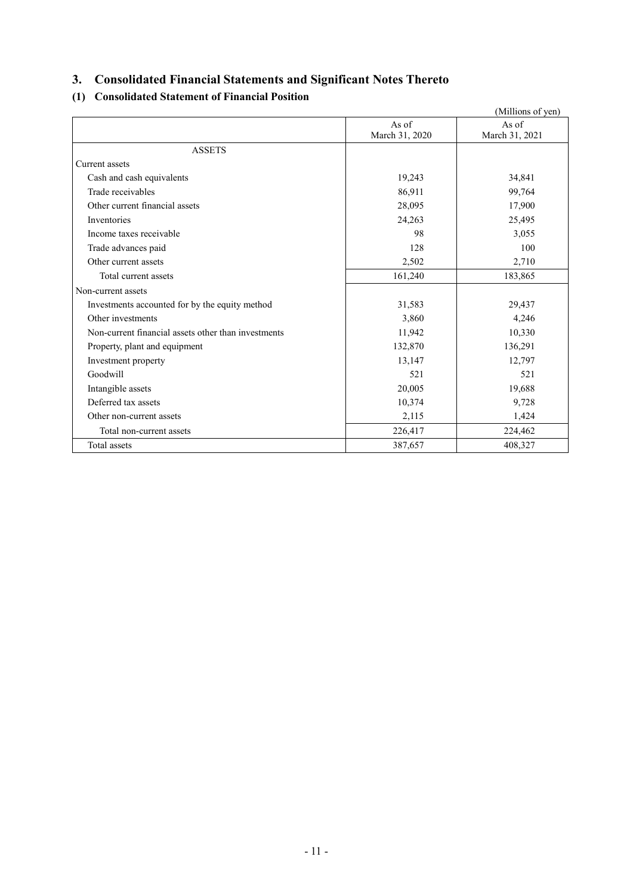# **3. Consolidated Financial Statements and Significant Notes Thereto**

# **(1) Consolidated Statement of Financial Position**

|                                                     |                | (Millions of yen) |
|-----------------------------------------------------|----------------|-------------------|
|                                                     | As of          | As of             |
|                                                     | March 31, 2020 | March 31, 2021    |
| <b>ASSETS</b>                                       |                |                   |
| Current assets                                      |                |                   |
| Cash and cash equivalents                           | 19,243         | 34,841            |
| Trade receivables                                   | 86,911         | 99,764            |
| Other current financial assets                      | 28,095         | 17,900            |
| Inventories                                         | 24,263         | 25,495            |
| Income taxes receivable                             | 98             | 3,055             |
| Trade advances paid                                 | 128            | 100               |
| Other current assets                                | 2,502          | 2,710             |
| Total current assets                                | 161,240        | 183,865           |
| Non-current assets                                  |                |                   |
| Investments accounted for by the equity method      | 31,583         | 29,437            |
| Other investments                                   | 3,860          | 4,246             |
| Non-current financial assets other than investments | 11,942         | 10,330            |
| Property, plant and equipment                       | 132,870        | 136,291           |
| Investment property                                 | 13,147         | 12,797            |
| Goodwill                                            | 521            | 521               |
| Intangible assets                                   | 20,005         | 19,688            |
| Deferred tax assets                                 | 10,374         | 9,728             |
| Other non-current assets                            | 2,115          | 1,424             |
| Total non-current assets                            | 226,417        | 224,462           |
| Total assets                                        | 387,657        | 408,327           |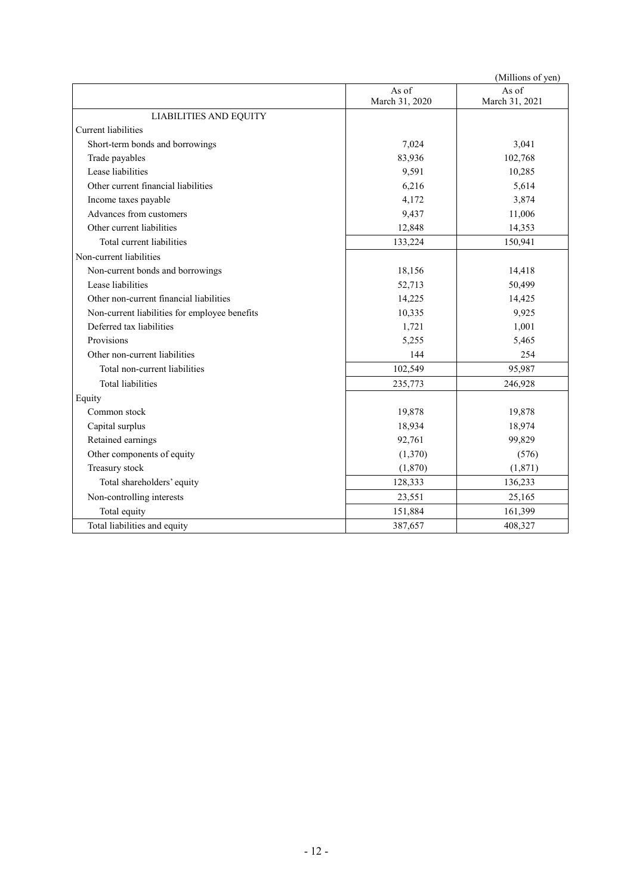|                                               |                         | (Millions of yen)       |
|-----------------------------------------------|-------------------------|-------------------------|
|                                               | As of<br>March 31, 2020 | As of<br>March 31, 2021 |
| <b>LIABILITIES AND EQUITY</b>                 |                         |                         |
| <b>Current liabilities</b>                    |                         |                         |
| Short-term bonds and borrowings               | 7,024                   | 3,041                   |
| Trade payables                                | 83,936                  | 102,768                 |
| Lease liabilities                             | 9,591                   | 10,285                  |
| Other current financial liabilities           | 6,216                   | 5,614                   |
| Income taxes payable                          | 4,172                   | 3,874                   |
| Advances from customers                       | 9,437                   | 11,006                  |
| Other current liabilities                     | 12,848                  | 14,353                  |
| Total current liabilities                     | 133,224                 | 150,941                 |
| Non-current liabilities                       |                         |                         |
| Non-current bonds and borrowings              | 18,156                  | 14,418                  |
| Lease liabilities                             | 52,713                  | 50,499                  |
| Other non-current financial liabilities       | 14,225                  | 14,425                  |
| Non-current liabilities for employee benefits | 10,335                  | 9,925                   |
| Deferred tax liabilities                      | 1,721                   | 1,001                   |
| Provisions                                    | 5,255                   | 5,465                   |
| Other non-current liabilities                 | 144                     | 254                     |
| Total non-current liabilities                 | 102,549                 | 95,987                  |
| <b>Total liabilities</b>                      | 235,773                 | 246,928                 |
| Equity                                        |                         |                         |
| Common stock                                  | 19,878                  | 19,878                  |
| Capital surplus                               | 18,934                  | 18,974                  |
| Retained earnings                             | 92,761                  | 99,829                  |
| Other components of equity                    | (1,370)                 | (576)                   |
| Treasury stock                                | (1,870)                 | (1,871)                 |
| Total shareholders' equity                    | 128,333                 | 136,233                 |
| Non-controlling interests                     | 23,551                  | 25,165                  |
| Total equity                                  | 151,884                 | 161,399                 |
| Total liabilities and equity                  | 387,657                 | 408,327                 |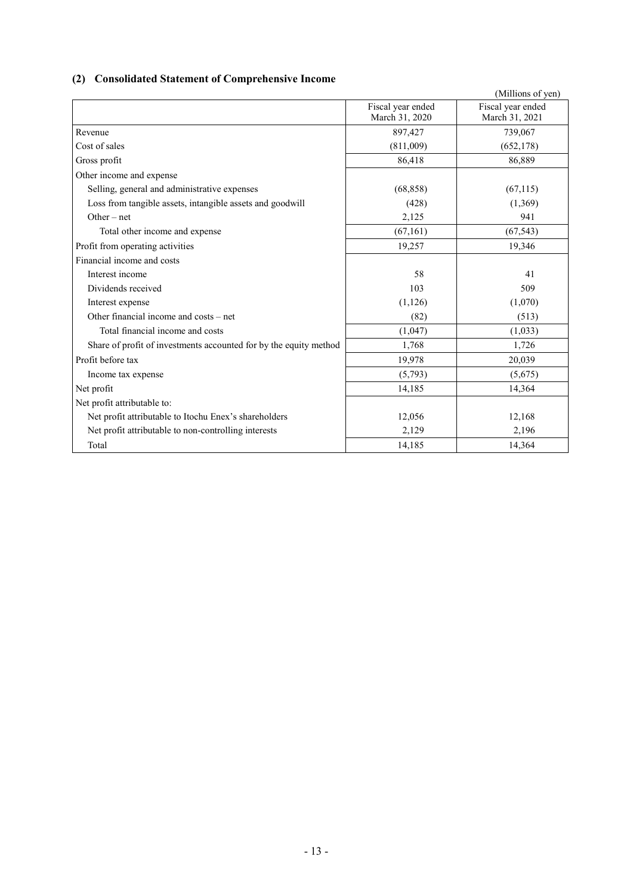# **(2) Consolidated Statement of Comprehensive Income**

|                                                                   |                   | (Millions of yen) |
|-------------------------------------------------------------------|-------------------|-------------------|
|                                                                   | Fiscal year ended | Fiscal year ended |
|                                                                   | March 31, 2020    | March 31, 2021    |
| Revenue                                                           | 897,427           | 739,067           |
| Cost of sales                                                     | (811,009)         | (652, 178)        |
| Gross profit                                                      | 86,418            | 86,889            |
| Other income and expense                                          |                   |                   |
| Selling, general and administrative expenses                      | (68, 858)         | (67,115)          |
| Loss from tangible assets, intangible assets and goodwill         | (428)             | (1,369)           |
| $Other-net$                                                       | 2,125             | 941               |
| Total other income and expense                                    | (67, 161)         | (67, 543)         |
| Profit from operating activities                                  | 19,257            | 19,346            |
| Financial income and costs                                        |                   |                   |
| Interest income                                                   | 58                | 41                |
| Dividends received                                                | 103               | 509               |
| Interest expense                                                  | (1, 126)          | (1,070)           |
| Other financial income and costs – net                            | (82)              | (513)             |
| Total financial income and costs                                  | (1,047)           | (1,033)           |
| Share of profit of investments accounted for by the equity method | 1,768             | 1,726             |
| Profit before tax                                                 | 19,978            | 20,039            |
| Income tax expense                                                | (5,793)           | (5,675)           |
| Net profit                                                        | 14,185            | 14,364            |
| Net profit attributable to:                                       |                   |                   |
| Net profit attributable to Itochu Enex's shareholders             | 12,056            | 12,168            |
| Net profit attributable to non-controlling interests              | 2,129             | 2,196             |
| Total                                                             | 14,185            | 14,364            |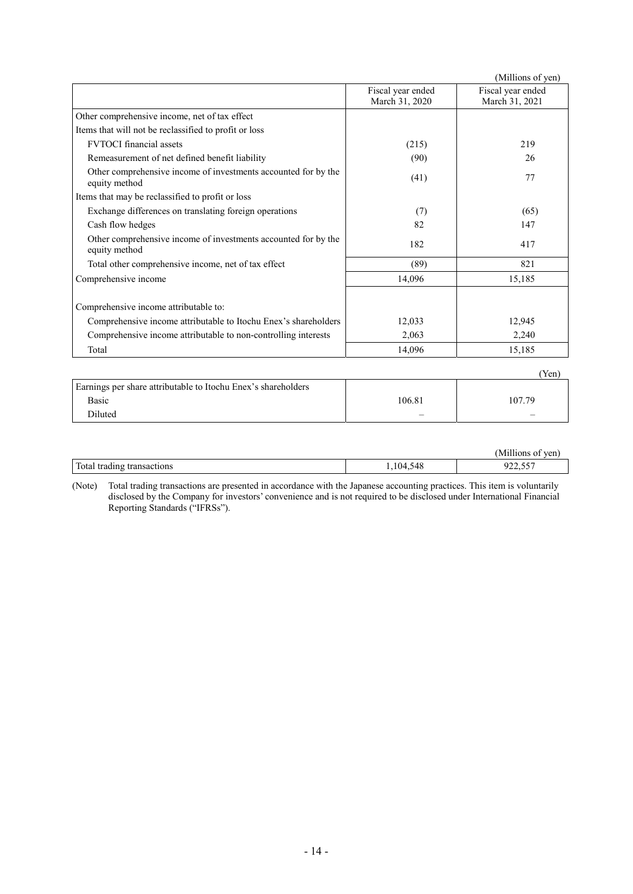|                                                                                 |                                     | (Millions of yen)                   |
|---------------------------------------------------------------------------------|-------------------------------------|-------------------------------------|
|                                                                                 | Fiscal year ended<br>March 31, 2020 | Fiscal year ended<br>March 31, 2021 |
| Other comprehensive income, net of tax effect                                   |                                     |                                     |
| Items that will not be reclassified to profit or loss                           |                                     |                                     |
| <b>FVTOCI</b> financial assets                                                  | (215)                               | 219                                 |
| Remeasurement of net defined benefit liability                                  | (90)                                | 26                                  |
| Other comprehensive income of investments accounted for by the<br>equity method | (41)                                | 77                                  |
| Items that may be reclassified to profit or loss                                |                                     |                                     |
| Exchange differences on translating foreign operations                          | (7)                                 | (65)                                |
| Cash flow hedges                                                                | 82                                  | 147                                 |
| Other comprehensive income of investments accounted for by the<br>equity method | 182                                 | 417                                 |
| Total other comprehensive income, net of tax effect                             | (89)                                | 821                                 |
| Comprehensive income                                                            | 14,096                              | 15,185                              |
| Comprehensive income attributable to:                                           |                                     |                                     |
| Comprehensive income attributable to Itochu Enex's shareholders                 | 12,033                              | 12,945                              |
| Comprehensive income attributable to non-controlling interests                  | 2,063                               | 2,240                               |
| Total                                                                           | 14,096                              | 15,185                              |
|                                                                                 |                                     | (Yen)                               |
| Earnings per share attributable to Itochu Enex's shareholders                   |                                     |                                     |

| Earnings per share attributable to Itochu Enex's shareholders |        |        |  |
|---------------------------------------------------------------|--------|--------|--|
| Basic                                                         | 106.81 | 107.79 |  |
| Diluted                                                       |        |        |  |

|                                | . <b></b><br>M<br>ven |
|--------------------------------|-----------------------|
| Total tradin<br>tradin<br>10ns | $- - -$<br>ں رہے۔     |

(Note) Total trading transactions are presented in accordance with the Japanese accounting practices. This item is voluntarily disclosed by the Company for investors' convenience and is not required to be disclosed under International Financial Reporting Standards ("IFRSs").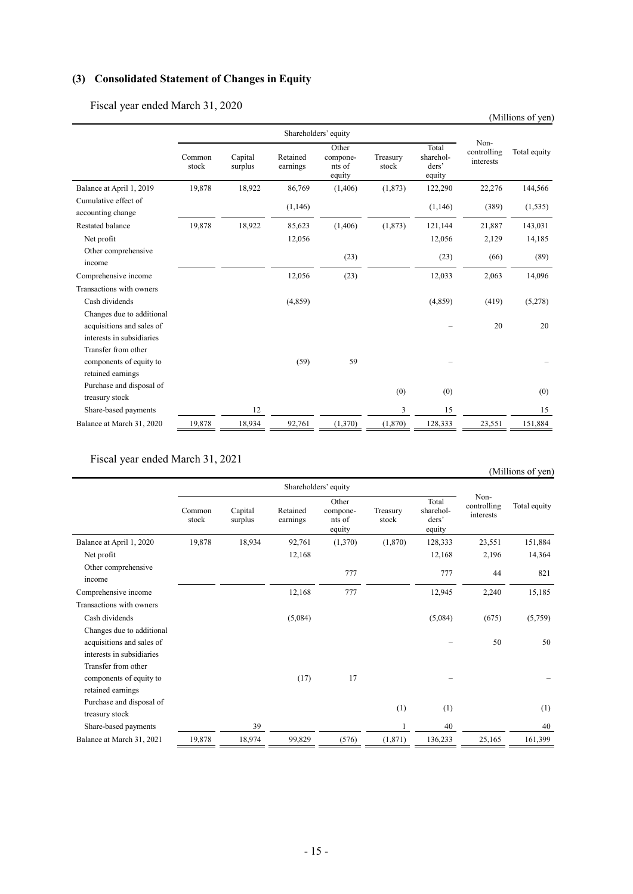# **(3) Consolidated Statement of Changes in Equity**

Fiscal year ended March 31, 2020

|                                                        |                 |                    |                      |                                       |                   |                                       |                                  | (Millions of yen) |
|--------------------------------------------------------|-----------------|--------------------|----------------------|---------------------------------------|-------------------|---------------------------------------|----------------------------------|-------------------|
|                                                        |                 |                    |                      | Shareholders' equity                  |                   |                                       |                                  |                   |
|                                                        | Common<br>stock | Capital<br>surplus | Retained<br>earnings | Other<br>compone-<br>nts of<br>equity | Treasury<br>stock | Total<br>sharehol-<br>ders'<br>equity | Non-<br>controlling<br>interests | Total equity      |
| Balance at April 1, 2019                               | 19,878          | 18,922             | 86,769               | (1,406)                               | (1,873)           | 122,290                               | 22,276                           | 144,566           |
| Cumulative effect of<br>accounting change              |                 |                    | (1,146)              |                                       |                   | (1,146)                               | (389)                            | (1, 535)          |
| Restated balance                                       | 19,878          | 18,922             | 85,623               | (1,406)                               | (1,873)           | 121,144                               | 21,887                           | 143,031           |
| Net profit                                             |                 |                    | 12,056               |                                       |                   | 12,056                                | 2,129                            | 14,185            |
| Other comprehensive<br>income                          |                 |                    |                      | (23)                                  |                   | (23)                                  | (66)                             | (89)              |
| Comprehensive income                                   |                 |                    | 12,056               | (23)                                  |                   | 12,033                                | 2,063                            | 14,096            |
| Transactions with owners                               |                 |                    |                      |                                       |                   |                                       |                                  |                   |
| Cash dividends                                         |                 |                    | (4,859)              |                                       |                   | (4,859)                               | (419)                            | (5,278)           |
| Changes due to additional<br>acquisitions and sales of |                 |                    |                      |                                       |                   |                                       | 20                               | 20                |
| interests in subsidiaries                              |                 |                    |                      |                                       |                   |                                       |                                  |                   |
| Transfer from other                                    |                 |                    |                      |                                       |                   |                                       |                                  |                   |
| components of equity to                                |                 |                    | (59)                 | 59                                    |                   |                                       |                                  |                   |
| retained earnings                                      |                 |                    |                      |                                       |                   |                                       |                                  |                   |
| Purchase and disposal of<br>treasury stock             |                 |                    |                      |                                       | (0)               | (0)                                   |                                  | (0)               |
| Share-based payments                                   |                 | 12                 |                      |                                       | 3                 | 15                                    |                                  | 15                |
| Balance at March 31, 2020                              | 19,878          | 18,934             | 92,761               | (1,370)                               | (1,870)           | 128,333                               | 23,551                           | 151,884           |

Fiscal year ended March 31, 2021

# (Millions of yen)

|                                                                                     | Shareholders' equity |                    |                      |                                       |                   |                                       |                                  |              |
|-------------------------------------------------------------------------------------|----------------------|--------------------|----------------------|---------------------------------------|-------------------|---------------------------------------|----------------------------------|--------------|
|                                                                                     | Common<br>stock      | Capital<br>surplus | Retained<br>earnings | Other<br>compone-<br>nts of<br>equity | Treasury<br>stock | Total<br>sharehol-<br>ders'<br>equity | Non-<br>controlling<br>interests | Total equity |
| Balance at April 1, 2020                                                            | 19,878               | 18,934             | 92,761               | (1,370)                               | (1,870)           | 128,333                               | 23,551                           | 151,884      |
| Net profit                                                                          |                      |                    | 12,168               |                                       |                   | 12,168                                | 2,196                            | 14,364       |
| Other comprehensive<br>income                                                       |                      |                    |                      | 777                                   |                   | 777                                   | 44                               | 821          |
| Comprehensive income                                                                |                      |                    | 12,168               | 777                                   |                   | 12,945                                | 2,240                            | 15,185       |
| Transactions with owners                                                            |                      |                    |                      |                                       |                   |                                       |                                  |              |
| Cash dividends                                                                      |                      |                    | (5,084)              |                                       |                   | (5,084)                               | (675)                            | (5,759)      |
| Changes due to additional<br>acquisitions and sales of<br>interests in subsidiaries |                      |                    |                      |                                       |                   |                                       | 50                               | 50           |
| Transfer from other<br>components of equity to<br>retained earnings                 |                      |                    | (17)                 | 17                                    |                   |                                       |                                  |              |
| Purchase and disposal of<br>treasury stock                                          |                      |                    |                      |                                       | (1)               | (1)                                   |                                  | (1)          |
| Share-based payments                                                                |                      | 39                 |                      |                                       |                   | 40                                    |                                  | 40           |
| Balance at March 31, 2021                                                           | 19,878               | 18,974             | 99,829               | (576)                                 | (1, 871)          | 136,233                               | 25,165                           | 161,399      |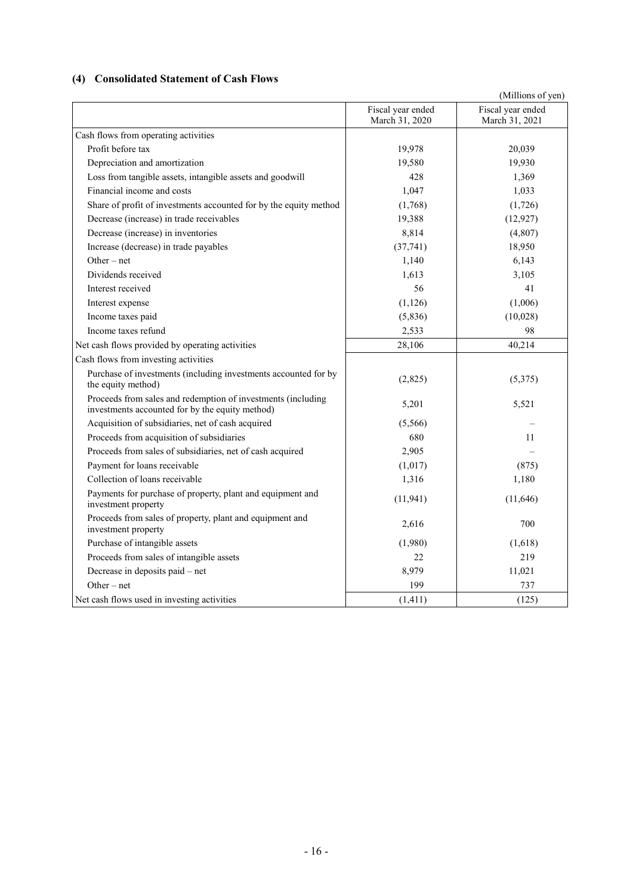# **(4) Consolidated Statement of Cash Flows**

|                                                                                                                 |                                     | (Millions of yen)                   |
|-----------------------------------------------------------------------------------------------------------------|-------------------------------------|-------------------------------------|
|                                                                                                                 | Fiscal year ended<br>March 31, 2020 | Fiscal year ended<br>March 31, 2021 |
| Cash flows from operating activities                                                                            |                                     |                                     |
| Profit before tax                                                                                               | 19,978                              | 20,039                              |
| Depreciation and amortization                                                                                   | 19,580                              | 19,930                              |
| Loss from tangible assets, intangible assets and goodwill                                                       | 428                                 | 1,369                               |
| Financial income and costs                                                                                      | 1,047                               | 1,033                               |
| Share of profit of investments accounted for by the equity method                                               | (1,768)                             | (1,726)                             |
| Decrease (increase) in trade receivables                                                                        | 19,388                              | (12, 927)                           |
| Decrease (increase) in inventories                                                                              | 8,814                               | (4,807)                             |
| Increase (decrease) in trade payables                                                                           | (37, 741)                           | 18,950                              |
| $Other - net$                                                                                                   | 1,140                               | 6,143                               |
| Dividends received                                                                                              | 1,613                               | 3,105                               |
| Interest received                                                                                               | 56                                  | 41                                  |
| Interest expense                                                                                                | (1,126)                             | (1,006)                             |
| Income taxes paid                                                                                               | (5,836)                             | (10,028)                            |
| Income taxes refund                                                                                             | 2,533                               | 98                                  |
| Net cash flows provided by operating activities                                                                 | 28,106                              | 40,214                              |
| Cash flows from investing activities                                                                            |                                     |                                     |
| Purchase of investments (including investments accounted for by<br>the equity method)                           | (2,825)                             | (5,375)                             |
| Proceeds from sales and redemption of investments (including<br>investments accounted for by the equity method) | 5,201                               | 5,521                               |
| Acquisition of subsidiaries, net of cash acquired                                                               | (5,566)                             |                                     |
| Proceeds from acquisition of subsidiaries                                                                       | 680                                 | 11                                  |
| Proceeds from sales of subsidiaries, net of cash acquired                                                       | 2,905                               |                                     |
| Payment for loans receivable                                                                                    | (1,017)                             | (875)                               |
| Collection of loans receivable                                                                                  | 1,316                               | 1,180                               |
| Payments for purchase of property, plant and equipment and<br>investment property                               | (11, 941)                           | (11,646)                            |
| Proceeds from sales of property, plant and equipment and<br>investment property                                 | 2,616                               | 700                                 |
| Purchase of intangible assets                                                                                   | (1,980)                             | (1,618)                             |
| Proceeds from sales of intangible assets                                                                        | 22                                  | 219                                 |
| Decrease in deposits paid - net                                                                                 | 8,979                               | 11,021                              |
| $Other - net$                                                                                                   | 199                                 | 737                                 |
| Net cash flows used in investing activities                                                                     | (1, 411)                            | (125)                               |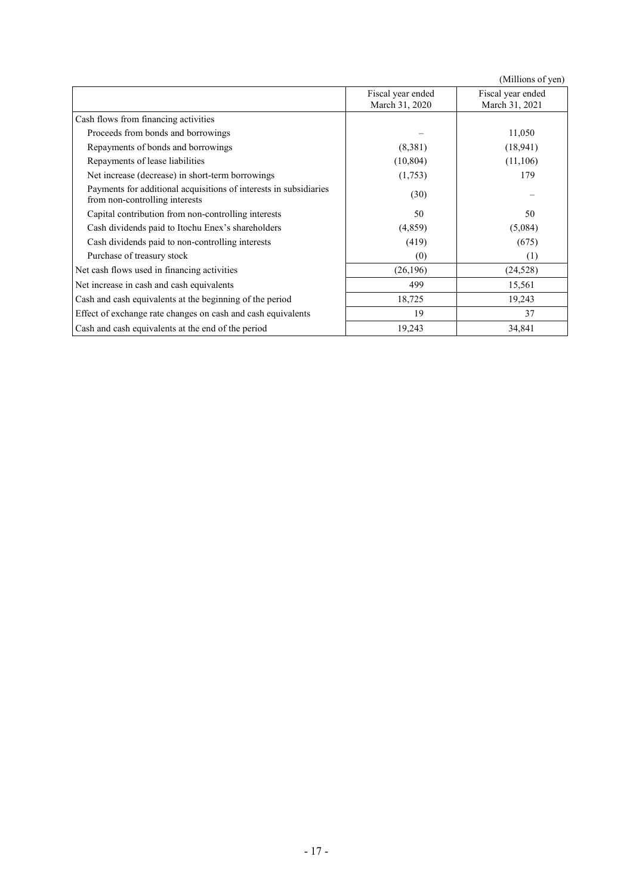|                                                                                                     |                   | (Millions of yen) |
|-----------------------------------------------------------------------------------------------------|-------------------|-------------------|
|                                                                                                     | Fiscal year ended | Fiscal year ended |
|                                                                                                     | March 31, 2020    | March 31, 2021    |
| Cash flows from financing activities                                                                |                   |                   |
| Proceeds from bonds and borrowings                                                                  |                   | 11,050            |
| Repayments of bonds and borrowings                                                                  | (8,381)           | (18, 941)         |
| Repayments of lease liabilities                                                                     | (10, 804)         | (11, 106)         |
| Net increase (decrease) in short-term borrowings                                                    | (1,753)           | 179               |
| Payments for additional acquisitions of interests in subsidiaries<br>from non-controlling interests | (30)              |                   |
| Capital contribution from non-controlling interests                                                 | 50                | 50                |
| Cash dividends paid to Itochu Enex's shareholders                                                   | (4,859)           | (5,084)           |
| Cash dividends paid to non-controlling interests                                                    | (419)             | (675)             |
| Purchase of treasury stock                                                                          | (0)               | (1)               |
| Net cash flows used in financing activities                                                         | (26, 196)         | (24, 528)         |
| Net increase in cash and cash equivalents                                                           | 499               | 15,561            |
| Cash and cash equivalents at the beginning of the period                                            | 18,725            | 19,243            |
| Effect of exchange rate changes on cash and cash equivalents                                        | 19                | 37                |
| Cash and cash equivalents at the end of the period                                                  | 19,243            | 34,841            |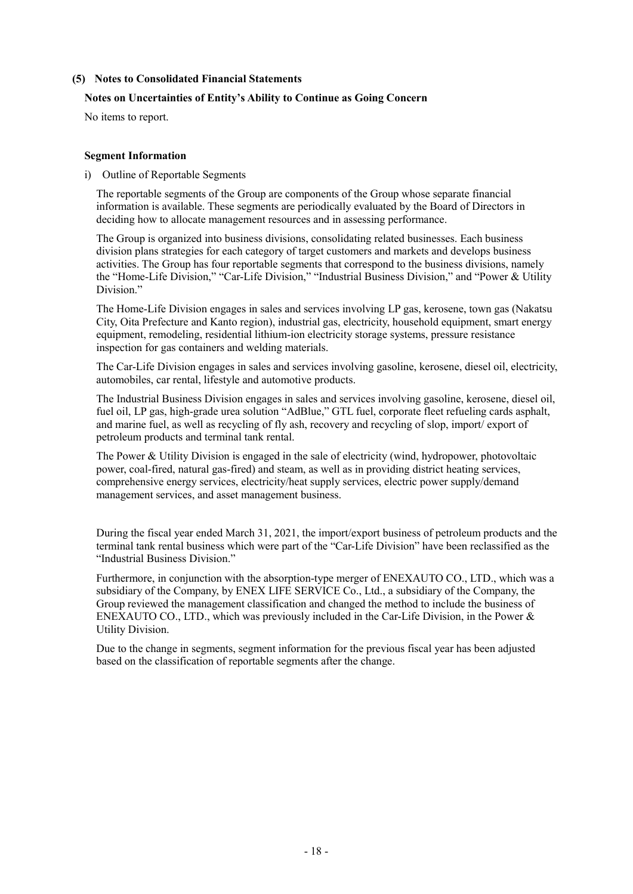#### **(5) Notes to Consolidated Financial Statements**

#### **Notes on Uncertainties of Entity's Ability to Continue as Going Concern**

No items to report.

#### **Segment Information**

i) Outline of Reportable Segments

The reportable segments of the Group are components of the Group whose separate financial information is available. These segments are periodically evaluated by the Board of Directors in deciding how to allocate management resources and in assessing performance.

The Group is organized into business divisions, consolidating related businesses. Each business division plans strategies for each category of target customers and markets and develops business activities. The Group has four reportable segments that correspond to the business divisions, namely the "Home-Life Division," "Car-Life Division," "Industrial Business Division," and "Power & Utility Division."

The Home-Life Division engages in sales and services involving LP gas, kerosene, town gas (Nakatsu City, Oita Prefecture and Kanto region), industrial gas, electricity, household equipment, smart energy equipment, remodeling, residential lithium-ion electricity storage systems, pressure resistance inspection for gas containers and welding materials.

The Car-Life Division engages in sales and services involving gasoline, kerosene, diesel oil, electricity, automobiles, car rental, lifestyle and automotive products.

The Industrial Business Division engages in sales and services involving gasoline, kerosene, diesel oil, fuel oil, LP gas, high-grade urea solution "AdBlue," GTL fuel, corporate fleet refueling cards asphalt, and marine fuel, as well as recycling of fly ash, recovery and recycling of slop, import/ export of petroleum products and terminal tank rental.

The Power & Utility Division is engaged in the sale of electricity (wind, hydropower, photovoltaic power, coal-fired, natural gas-fired) and steam, as well as in providing district heating services, comprehensive energy services, electricity/heat supply services, electric power supply/demand management services, and asset management business.

During the fiscal year ended March 31, 2021, the import/export business of petroleum products and the terminal tank rental business which were part of the "Car-Life Division" have been reclassified as the "Industrial Business Division."

Furthermore, in conjunction with the absorption-type merger of ENEXAUTO CO., LTD., which was a subsidiary of the Company, by ENEX LIFE SERVICE Co., Ltd., a subsidiary of the Company, the Group reviewed the management classification and changed the method to include the business of ENEXAUTO CO., LTD., which was previously included in the Car-Life Division, in the Power & Utility Division.

Due to the change in segments, segment information for the previous fiscal year has been adjusted based on the classification of reportable segments after the change.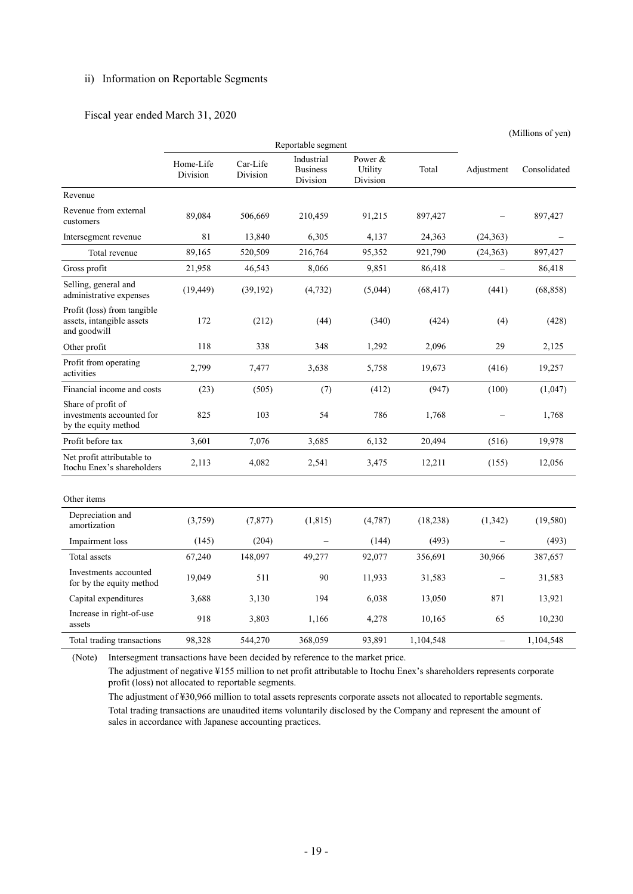# ii) Information on Reportable Segments

#### Fiscal year ended March 31, 2020

|                                                                          |                       |                      |                                           |                                |           | (Millions of yen)        |              |  |
|--------------------------------------------------------------------------|-----------------------|----------------------|-------------------------------------------|--------------------------------|-----------|--------------------------|--------------|--|
|                                                                          | Reportable segment    |                      |                                           |                                |           |                          |              |  |
|                                                                          | Home-Life<br>Division | Car-Life<br>Division | Industrial<br><b>Business</b><br>Division | Power &<br>Utility<br>Division | Total     | Adjustment               | Consolidated |  |
| Revenue                                                                  |                       |                      |                                           |                                |           |                          |              |  |
| Revenue from external<br>customers                                       | 89,084                | 506,669              | 210,459                                   | 91,215                         | 897,427   |                          | 897,427      |  |
| Intersegment revenue                                                     | 81                    | 13,840               | 6,305                                     | 4,137                          | 24,363    | (24, 363)                |              |  |
| Total revenue                                                            | 89,165                | 520,509              | 216,764                                   | 95,352                         | 921,790   | (24, 363)                | 897,427      |  |
| Gross profit                                                             | 21,958                | 46,543               | 8,066                                     | 9,851                          | 86,418    | $\overline{\phantom{0}}$ | 86,418       |  |
| Selling, general and<br>administrative expenses                          | (19, 449)             | (39, 192)            | (4, 732)                                  | (5,044)                        | (68, 417) | (441)                    | (68, 858)    |  |
| Profit (loss) from tangible<br>assets, intangible assets<br>and goodwill | 172                   | (212)                | (44)                                      | (340)                          | (424)     | (4)                      | (428)        |  |
| Other profit                                                             | 118                   | 338                  | 348                                       | 1,292                          | 2,096     | 29                       | 2,125        |  |
| Profit from operating<br>activities                                      | 2,799                 | 7,477                | 3,638                                     | 5,758                          | 19,673    | (416)                    | 19,257       |  |
| Financial income and costs                                               | (23)                  | (505)                | (7)                                       | (412)                          | (947)     | (100)                    | (1,047)      |  |
| Share of profit of<br>investments accounted for<br>by the equity method  | 825                   | 103                  | 54                                        | 786                            | 1,768     |                          | 1,768        |  |
| Profit before tax                                                        | 3,601                 | 7,076                | 3,685                                     | 6,132                          | 20,494    | (516)                    | 19,978       |  |
| Net profit attributable to<br>Itochu Enex's shareholders                 | 2,113                 | 4,082                | 2,541                                     | 3,475                          | 12,211    | (155)                    | 12,056       |  |
| Other items                                                              |                       |                      |                                           |                                |           |                          |              |  |
| Depreciation and<br>amortization                                         | (3,759)               | (7, 877)             | (1, 815)                                  | (4,787)                        | (18, 238) | (1,342)                  | (19,580)     |  |
| Impairment loss                                                          | (145)                 | (204)                |                                           | (144)                          | (493)     |                          | (493)        |  |
| Total assets                                                             | 67,240                | 148,097              | 49,277                                    | 92,077                         | 356,691   | 30,966                   | 387,657      |  |
| Investments accounted<br>for by the equity method                        | 19,049                | 511                  | 90                                        | 11,933                         | 31,583    |                          | 31,583       |  |
| Capital expenditures                                                     | 3,688                 | 3,130                | 194                                       | 6,038                          | 13,050    | 871                      | 13,921       |  |
| Increase in right-of-use<br>assets                                       | 918                   | 3,803                | 1,166                                     | 4,278                          | 10,165    | 65                       | 10,230       |  |
| Total trading transactions                                               | 98,328                | 544,270              | 368,059                                   | 93,891                         | 1,104,548 | $\equiv$                 | 1,104,548    |  |

(Note) Intersegment transactions have been decided by reference to the market price.

The adjustment of negative ¥155 million to net profit attributable to Itochu Enex's shareholders represents corporate profit (loss) not allocated to reportable segments.

The adjustment of ¥30,966 million to total assets represents corporate assets not allocated to reportable segments. Total trading transactions are unaudited items voluntarily disclosed by the Company and represent the amount of sales in accordance with Japanese accounting practices.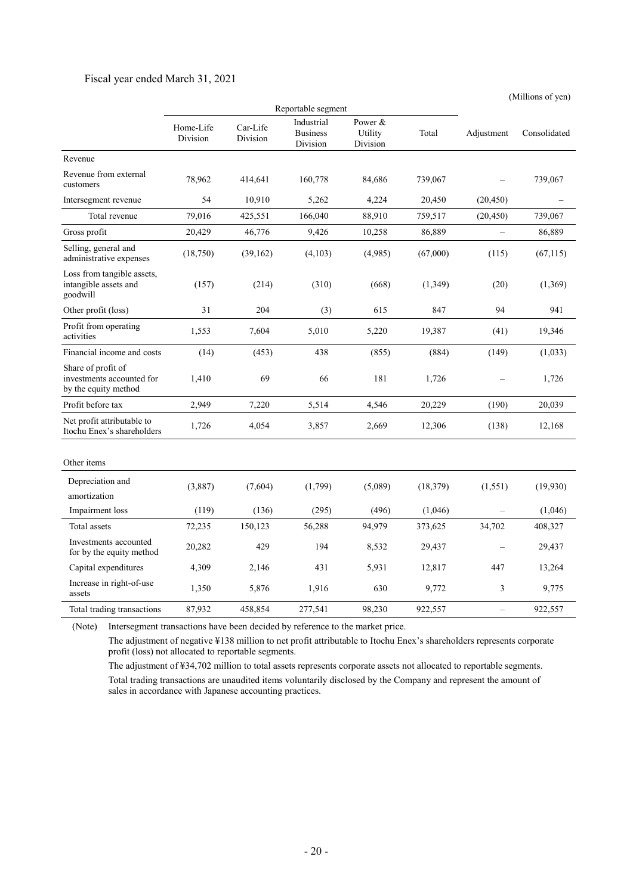#### Fiscal year ended March 31, 2021

(Millions of yen)

|                                                                         | Reportable segment    |                      |                                           |                                |           |            |              |
|-------------------------------------------------------------------------|-----------------------|----------------------|-------------------------------------------|--------------------------------|-----------|------------|--------------|
|                                                                         | Home-Life<br>Division | Car-Life<br>Division | Industrial<br><b>Business</b><br>Division | Power &<br>Utility<br>Division | Total     | Adjustment | Consolidated |
| Revenue                                                                 |                       |                      |                                           |                                |           |            |              |
| Revenue from external<br>customers                                      | 78,962                | 414,641              | 160,778                                   | 84,686                         | 739,067   |            | 739,067      |
| Intersegment revenue                                                    | 54                    | 10,910               | 5,262                                     | 4,224                          | 20,450    | (20, 450)  |              |
| Total revenue                                                           | 79,016                | 425,551              | 166,040                                   | 88,910                         | 759,517   | (20, 450)  | 739,067      |
| Gross profit                                                            | 20,429                | 46,776               | 9,426                                     | 10,258                         | 86,889    | $\equiv$   | 86,889       |
| Selling, general and<br>administrative expenses                         | (18,750)              | (39, 162)            | (4,103)                                   | (4,985)                        | (67,000)  | (115)      | (67, 115)    |
| Loss from tangible assets,<br>intangible assets and<br>goodwill         | (157)                 | (214)                | (310)                                     | (668)                          | (1,349)   | (20)       | (1,369)      |
| Other profit (loss)                                                     | 31                    | 204                  | (3)                                       | 615                            | 847       | 94         | 941          |
| Profit from operating<br>activities                                     | 1,553                 | 7,604                | 5,010                                     | 5,220                          | 19,387    | (41)       | 19,346       |
| Financial income and costs                                              | (14)                  | (453)                | 438                                       | (855)                          | (884)     | (149)      | (1,033)      |
| Share of profit of<br>investments accounted for<br>by the equity method | 1,410                 | 69                   | 66                                        | 181                            | 1,726     |            | 1,726        |
| Profit before tax                                                       | 2,949                 | 7,220                | 5,514                                     | 4,546                          | 20,229    | (190)      | 20,039       |
| Net profit attributable to<br>Itochu Enex's shareholders                | 1,726                 | 4,054                | 3,857                                     | 2,669                          | 12,306    | (138)      | 12,168       |
| Other items                                                             |                       |                      |                                           |                                |           |            |              |
| Depreciation and<br>amortization                                        | (3,887)               | (7,604)              | (1,799)                                   | (5,089)                        | (18, 379) | (1,551)    | (19,930)     |
| Impairment loss                                                         | (119)                 | (136)                | (295)                                     | (496)                          | (1,046)   |            | (1,046)      |
| Total assets                                                            | 72,235                | 150,123              | 56,288                                    | 94,979                         | 373,625   | 34,702     | 408,327      |
| Investments accounted<br>for by the equity method                       | 20,282                | 429                  | 194                                       | 8,532                          | 29,437    |            | 29,437       |
| Capital expenditures                                                    | 4,309                 | 2,146                | 431                                       | 5,931                          | 12,817    | 447        | 13,264       |
| Increase in right-of-use<br>assets                                      | 1,350                 | 5,876                | 1,916                                     | 630                            | 9,772     | 3          | 9,775        |
| Total trading transactions                                              | 87,932                | 458,854              | 277,541                                   | 98,230                         | 922,557   | $\equiv$   | 922,557      |

(Note) Intersegment transactions have been decided by reference to the market price.

The adjustment of negative ¥138 million to net profit attributable to Itochu Enex's shareholders represents corporate profit (loss) not allocated to reportable segments.

The adjustment of ¥34,702 million to total assets represents corporate assets not allocated to reportable segments. Total trading transactions are unaudited items voluntarily disclosed by the Company and represent the amount of sales in accordance with Japanese accounting practices.